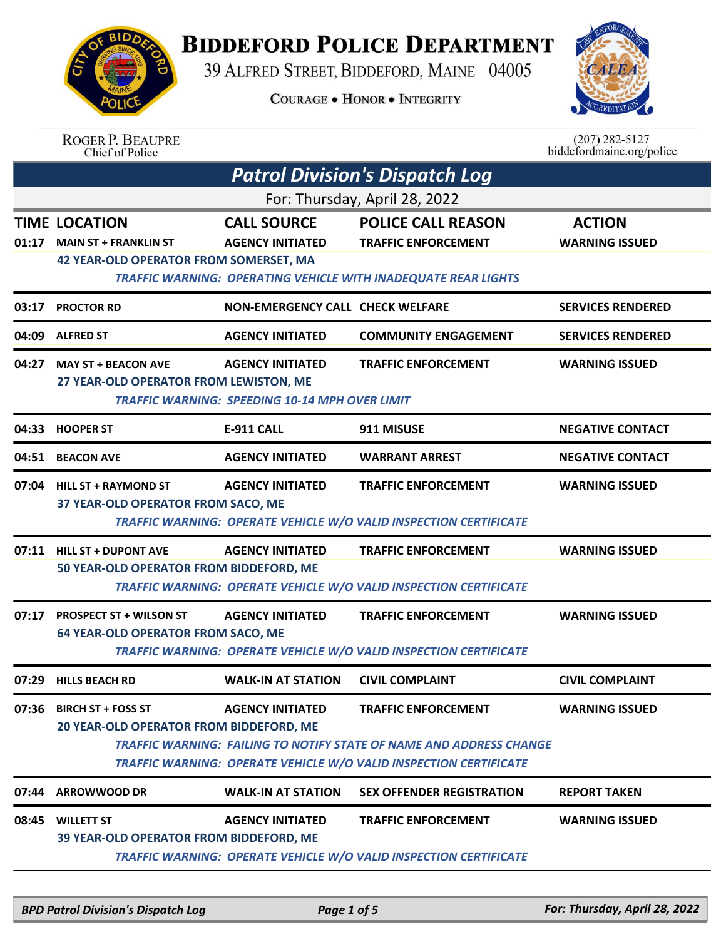

## **BIDDEFORD POLICE DEPARTMENT**

39 ALFRED STREET, BIDDEFORD, MAINE 04005

**COURAGE . HONOR . INTEGRITY** 



## ROGER P. BEAUPRE<br>Chief of Police

 $(207)$  282-5127 biddefordmaine.org/police

|       | <b>Patrol Division's Dispatch Log</b>                                                                |                                                                                  |                                                                                                                                                                               |                                        |  |  |  |
|-------|------------------------------------------------------------------------------------------------------|----------------------------------------------------------------------------------|-------------------------------------------------------------------------------------------------------------------------------------------------------------------------------|----------------------------------------|--|--|--|
|       | For: Thursday, April 28, 2022                                                                        |                                                                                  |                                                                                                                                                                               |                                        |  |  |  |
|       | <b>TIME LOCATION</b><br>01:17 MAIN ST + FRANKLIN ST<br><b>42 YEAR-OLD OPERATOR FROM SOMERSET, MA</b> | <b>CALL SOURCE</b><br><b>AGENCY INITIATED</b>                                    | <b>POLICE CALL REASON</b><br><b>TRAFFIC ENFORCEMENT</b>                                                                                                                       | <b>ACTION</b><br><b>WARNING ISSUED</b> |  |  |  |
|       |                                                                                                      |                                                                                  | TRAFFIC WARNING: OPERATING VEHICLE WITH INADEQUATE REAR LIGHTS                                                                                                                |                                        |  |  |  |
| 03:17 | <b>PROCTOR RD</b>                                                                                    | NON-EMERGENCY CALL CHECK WELFARE                                                 |                                                                                                                                                                               | <b>SERVICES RENDERED</b>               |  |  |  |
| 04:09 | <b>ALFRED ST</b>                                                                                     | <b>AGENCY INITIATED</b>                                                          | <b>COMMUNITY ENGAGEMENT</b>                                                                                                                                                   | <b>SERVICES RENDERED</b>               |  |  |  |
|       | 04:27 MAY ST + BEACON AVE<br>27 YEAR-OLD OPERATOR FROM LEWISTON, ME                                  | <b>AGENCY INITIATED</b><br><b>TRAFFIC WARNING: SPEEDING 10-14 MPH OVER LIMIT</b> | <b>TRAFFIC ENFORCEMENT</b>                                                                                                                                                    | <b>WARNING ISSUED</b>                  |  |  |  |
| 04:33 | <b>HOOPER ST</b>                                                                                     | <b>E-911 CALL</b>                                                                | 911 MISUSE                                                                                                                                                                    | <b>NEGATIVE CONTACT</b>                |  |  |  |
|       | 04:51 BEACON AVE                                                                                     | <b>AGENCY INITIATED</b>                                                          | <b>WARRANT ARREST</b>                                                                                                                                                         | <b>NEGATIVE CONTACT</b>                |  |  |  |
|       | 07:04 HILL ST + RAYMOND ST<br>37 YEAR-OLD OPERATOR FROM SACO, ME                                     | <b>AGENCY INITIATED</b>                                                          | <b>TRAFFIC ENFORCEMENT</b><br>TRAFFIC WARNING: OPERATE VEHICLE W/O VALID INSPECTION CERTIFICATE                                                                               | <b>WARNING ISSUED</b>                  |  |  |  |
|       | 07:11 HILL ST + DUPONT AVE<br>50 YEAR-OLD OPERATOR FROM BIDDEFORD, ME                                | <b>AGENCY INITIATED</b>                                                          | <b>TRAFFIC ENFORCEMENT</b><br><b>TRAFFIC WARNING: OPERATE VEHICLE W/O VALID INSPECTION CERTIFICATE</b>                                                                        | <b>WARNING ISSUED</b>                  |  |  |  |
| 07:17 | <b>PROSPECT ST + WILSON ST</b><br><b>64 YEAR-OLD OPERATOR FROM SACO, ME</b>                          | <b>AGENCY INITIATED</b>                                                          | <b>TRAFFIC ENFORCEMENT</b><br>TRAFFIC WARNING: OPERATE VEHICLE W/O VALID INSPECTION CERTIFICATE                                                                               | <b>WARNING ISSUED</b>                  |  |  |  |
| 07:29 | <b>HILLS BEACH RD</b>                                                                                | <b>WALK-IN AT STATION</b>                                                        | <b>CIVIL COMPLAINT</b>                                                                                                                                                        | <b>CIVIL COMPLAINT</b>                 |  |  |  |
| 07:36 | <b>BIRCH ST + FOSS ST</b><br>20 YEAR-OLD OPERATOR FROM BIDDEFORD, ME                                 | <b>AGENCY INITIATED</b>                                                          | <b>TRAFFIC ENFORCEMENT</b><br><b>TRAFFIC WARNING: FAILING TO NOTIFY STATE OF NAME AND ADDRESS CHANGE</b><br>TRAFFIC WARNING: OPERATE VEHICLE W/O VALID INSPECTION CERTIFICATE | <b>WARNING ISSUED</b>                  |  |  |  |
| 07:44 | <b>ARROWWOOD DR</b>                                                                                  | <b>WALK-IN AT STATION</b>                                                        | <b>SEX OFFENDER REGISTRATION</b>                                                                                                                                              | <b>REPORT TAKEN</b>                    |  |  |  |
| 08:45 | <b>WILLETT ST</b><br>39 YEAR-OLD OPERATOR FROM BIDDEFORD, ME                                         | <b>AGENCY INITIATED</b>                                                          | <b>TRAFFIC ENFORCEMENT</b><br><b>TRAFFIC WARNING: OPERATE VEHICLE W/O VALID INSPECTION CERTIFICATE</b>                                                                        | <b>WARNING ISSUED</b>                  |  |  |  |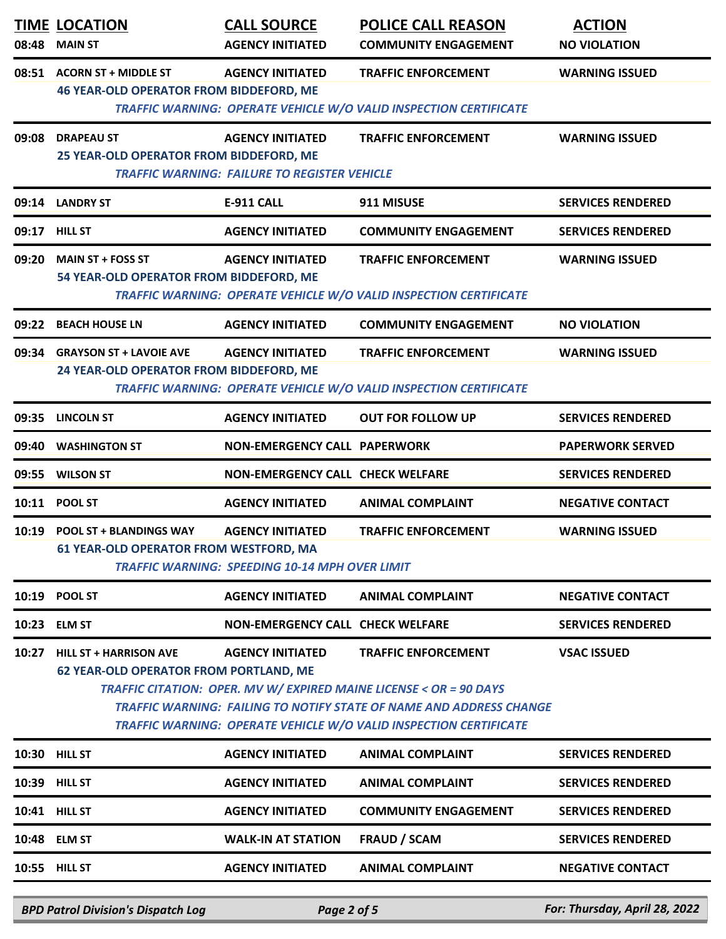| 08:48         | <b>TIME LOCATION</b><br><b>MAIN ST</b>                                                                                                                                                                                                                                                                                                                                          | <b>CALL SOURCE</b><br><b>AGENCY INITIATED</b>                                  | <b>POLICE CALL REASON</b><br><b>COMMUNITY ENGAGEMENT</b>                                        | <b>ACTION</b><br><b>NO VIOLATION</b> |  |
|---------------|---------------------------------------------------------------------------------------------------------------------------------------------------------------------------------------------------------------------------------------------------------------------------------------------------------------------------------------------------------------------------------|--------------------------------------------------------------------------------|-------------------------------------------------------------------------------------------------|--------------------------------------|--|
| 08:51         | <b>ACORN ST + MIDDLE ST</b><br><b>46 YEAR-OLD OPERATOR FROM BIDDEFORD, ME</b>                                                                                                                                                                                                                                                                                                   | <b>AGENCY INITIATED</b>                                                        | <b>TRAFFIC ENFORCEMENT</b><br>TRAFFIC WARNING: OPERATE VEHICLE W/O VALID INSPECTION CERTIFICATE | <b>WARNING ISSUED</b>                |  |
| 09:08         | <b>DRAPEAU ST</b><br>25 YEAR-OLD OPERATOR FROM BIDDEFORD, ME                                                                                                                                                                                                                                                                                                                    | <b>AGENCY INITIATED</b><br><b>TRAFFIC WARNING: FAILURE TO REGISTER VEHICLE</b> | <b>TRAFFIC ENFORCEMENT</b>                                                                      | <b>WARNING ISSUED</b>                |  |
|               | 09:14 LANDRY ST                                                                                                                                                                                                                                                                                                                                                                 | <b>E-911 CALL</b>                                                              | 911 MISUSE                                                                                      | <b>SERVICES RENDERED</b>             |  |
| 09:17 HILL ST |                                                                                                                                                                                                                                                                                                                                                                                 | <b>AGENCY INITIATED</b>                                                        | <b>COMMUNITY ENGAGEMENT</b>                                                                     | <b>SERVICES RENDERED</b>             |  |
| 09:20         | <b>MAIN ST + FOSS ST</b><br>54 YEAR-OLD OPERATOR FROM BIDDEFORD, ME                                                                                                                                                                                                                                                                                                             | <b>AGENCY INITIATED</b>                                                        | <b>TRAFFIC ENFORCEMENT</b><br>TRAFFIC WARNING: OPERATE VEHICLE W/O VALID INSPECTION CERTIFICATE | <b>WARNING ISSUED</b>                |  |
|               | 09:22 BEACH HOUSE LN                                                                                                                                                                                                                                                                                                                                                            | <b>AGENCY INITIATED</b>                                                        | <b>COMMUNITY ENGAGEMENT</b>                                                                     | <b>NO VIOLATION</b>                  |  |
| 09:34         | <b>GRAYSON ST + LAVOIE AVE</b><br>24 YEAR-OLD OPERATOR FROM BIDDEFORD, ME                                                                                                                                                                                                                                                                                                       | <b>AGENCY INITIATED</b>                                                        | <b>TRAFFIC ENFORCEMENT</b><br>TRAFFIC WARNING: OPERATE VEHICLE W/O VALID INSPECTION CERTIFICATE | <b>WARNING ISSUED</b>                |  |
| 09:35         | <b>LINCOLN ST</b>                                                                                                                                                                                                                                                                                                                                                               | <b>AGENCY INITIATED</b>                                                        | <b>OUT FOR FOLLOW UP</b>                                                                        | <b>SERVICES RENDERED</b>             |  |
| 09:40         | <b>WASHINGTON ST</b>                                                                                                                                                                                                                                                                                                                                                            | <b>NON-EMERGENCY CALL PAPERWORK</b>                                            |                                                                                                 | <b>PAPERWORK SERVED</b>              |  |
| 09:55         | <b>WILSON ST</b>                                                                                                                                                                                                                                                                                                                                                                | <b>NON-EMERGENCY CALL CHECK WELFARE</b>                                        |                                                                                                 | <b>SERVICES RENDERED</b>             |  |
|               | 10:11 POOL ST                                                                                                                                                                                                                                                                                                                                                                   | <b>AGENCY INITIATED</b>                                                        | <b>ANIMAL COMPLAINT</b>                                                                         | <b>NEGATIVE CONTACT</b>              |  |
|               | 10:19 POOL ST + BLANDINGS WAY<br><b>WARNING ISSUED</b><br><b>AGENCY INITIATED</b><br><b>TRAFFIC ENFORCEMENT</b><br>61 YEAR-OLD OPERATOR FROM WESTFORD, MA<br><b>TRAFFIC WARNING: SPEEDING 10-14 MPH OVER LIMIT</b>                                                                                                                                                              |                                                                                |                                                                                                 |                                      |  |
|               | 10:19 POOL ST                                                                                                                                                                                                                                                                                                                                                                   | <b>AGENCY INITIATED</b>                                                        | <b>ANIMAL COMPLAINT</b>                                                                         | <b>NEGATIVE CONTACT</b>              |  |
|               | 10:23 ELM ST                                                                                                                                                                                                                                                                                                                                                                    | <b>NON-EMERGENCY CALL CHECK WELFARE</b>                                        |                                                                                                 | <b>SERVICES RENDERED</b>             |  |
| 10:27         | <b>HILL ST + HARRISON AVE</b><br><b>AGENCY INITIATED</b><br><b>VSAC ISSUED</b><br><b>TRAFFIC ENFORCEMENT</b><br><b>62 YEAR-OLD OPERATOR FROM PORTLAND, ME</b><br>TRAFFIC CITATION: OPER. MV W/ EXPIRED MAINE LICENSE < OR = 90 DAYS<br>TRAFFIC WARNING: FAILING TO NOTIFY STATE OF NAME AND ADDRESS CHANGE<br>TRAFFIC WARNING: OPERATE VEHICLE W/O VALID INSPECTION CERTIFICATE |                                                                                |                                                                                                 |                                      |  |
|               | 10:30 HILL ST                                                                                                                                                                                                                                                                                                                                                                   | <b>AGENCY INITIATED</b>                                                        | <b>ANIMAL COMPLAINT</b>                                                                         | <b>SERVICES RENDERED</b>             |  |
|               | 10:39 HILL ST                                                                                                                                                                                                                                                                                                                                                                   | <b>AGENCY INITIATED</b>                                                        | <b>ANIMAL COMPLAINT</b>                                                                         | <b>SERVICES RENDERED</b>             |  |
|               | 10:41 HILL ST                                                                                                                                                                                                                                                                                                                                                                   | <b>AGENCY INITIATED</b>                                                        | <b>COMMUNITY ENGAGEMENT</b>                                                                     | <b>SERVICES RENDERED</b>             |  |
|               | 10:48 ELM ST                                                                                                                                                                                                                                                                                                                                                                    | <b>WALK-IN AT STATION</b>                                                      | <b>FRAUD / SCAM</b>                                                                             | <b>SERVICES RENDERED</b>             |  |
|               | 10:55 HILL ST                                                                                                                                                                                                                                                                                                                                                                   | <b>AGENCY INITIATED</b>                                                        | <b>ANIMAL COMPLAINT</b>                                                                         | <b>NEGATIVE CONTACT</b>              |  |

*BPD Patrol Division's Dispatch Log Page 2 of 5 For: Thursday, April 28, 2022*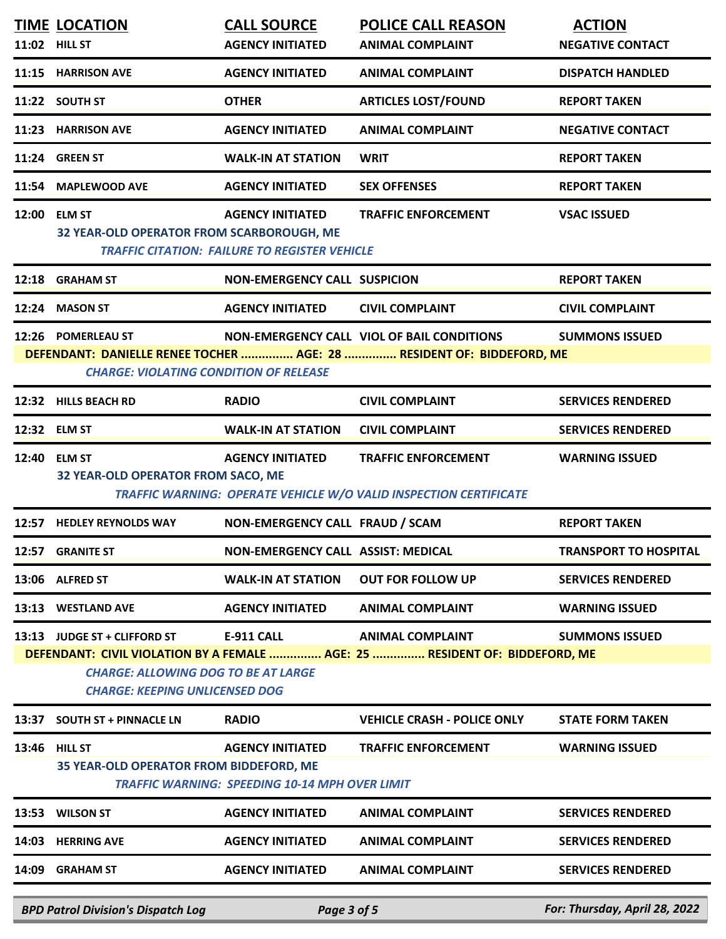|                                                                                                                                                                                                                     | <b>TIME LOCATION</b><br>11:02 HILL ST                                                                               | <b>CALL SOURCE</b><br><b>AGENCY INITIATED</b>                                    | <b>POLICE CALL REASON</b><br><b>ANIMAL COMPLAINT</b>                                                   | <b>ACTION</b><br><b>NEGATIVE CONTACT</b> |
|---------------------------------------------------------------------------------------------------------------------------------------------------------------------------------------------------------------------|---------------------------------------------------------------------------------------------------------------------|----------------------------------------------------------------------------------|--------------------------------------------------------------------------------------------------------|------------------------------------------|
|                                                                                                                                                                                                                     | 11:15 HARRISON AVE                                                                                                  | <b>AGENCY INITIATED</b>                                                          | <b>ANIMAL COMPLAINT</b>                                                                                | <b>DISPATCH HANDLED</b>                  |
|                                                                                                                                                                                                                     | 11:22 SOUTH ST                                                                                                      | <b>OTHER</b>                                                                     | <b>ARTICLES LOST/FOUND</b>                                                                             | <b>REPORT TAKEN</b>                      |
|                                                                                                                                                                                                                     | 11:23 HARRISON AVE                                                                                                  | <b>AGENCY INITIATED</b>                                                          | <b>ANIMAL COMPLAINT</b>                                                                                | <b>NEGATIVE CONTACT</b>                  |
|                                                                                                                                                                                                                     | 11:24 GREEN ST                                                                                                      | <b>WALK-IN AT STATION</b>                                                        | <b>WRIT</b>                                                                                            | <b>REPORT TAKEN</b>                      |
|                                                                                                                                                                                                                     | 11:54 MAPLEWOOD AVE                                                                                                 | <b>AGENCY INITIATED</b>                                                          | <b>SEX OFFENSES</b>                                                                                    | <b>REPORT TAKEN</b>                      |
|                                                                                                                                                                                                                     | 12:00 ELM ST<br>32 YEAR-OLD OPERATOR FROM SCARBOROUGH, ME                                                           | <b>AGENCY INITIATED</b><br><b>TRAFFIC CITATION: FAILURE TO REGISTER VEHICLE</b>  | <b>TRAFFIC ENFORCEMENT</b>                                                                             | <b>VSAC ISSUED</b>                       |
| 12:18                                                                                                                                                                                                               | <b>GRAHAM ST</b>                                                                                                    | <b>NON-EMERGENCY CALL SUSPICION</b>                                              |                                                                                                        | <b>REPORT TAKEN</b>                      |
|                                                                                                                                                                                                                     | 12:24 MASON ST                                                                                                      | <b>AGENCY INITIATED</b>                                                          | <b>CIVIL COMPLAINT</b>                                                                                 | <b>CIVIL COMPLAINT</b>                   |
| 12:26 POMERLEAU ST<br>NON-EMERGENCY CALL VIOL OF BAIL CONDITIONS<br><b>SUMMONS ISSUED</b><br>DEFENDANT: DANIELLE RENEE TOCHER  AGE: 28  RESIDENT OF: BIDDEFORD, ME<br><b>CHARGE: VIOLATING CONDITION OF RELEASE</b> |                                                                                                                     |                                                                                  |                                                                                                        |                                          |
|                                                                                                                                                                                                                     | 12:32 HILLS BEACH RD                                                                                                | <b>RADIO</b>                                                                     | <b>CIVIL COMPLAINT</b>                                                                                 | <b>SERVICES RENDERED</b>                 |
|                                                                                                                                                                                                                     | 12:32 ELM ST                                                                                                        | <b>WALK-IN AT STATION</b>                                                        | <b>CIVIL COMPLAINT</b>                                                                                 | <b>SERVICES RENDERED</b>                 |
|                                                                                                                                                                                                                     | 12:40 ELM ST<br>32 YEAR-OLD OPERATOR FROM SACO, ME                                                                  | <b>AGENCY INITIATED</b>                                                          | <b>TRAFFIC ENFORCEMENT</b><br>TRAFFIC WARNING: OPERATE VEHICLE W/O VALID INSPECTION CERTIFICATE        | <b>WARNING ISSUED</b>                    |
|                                                                                                                                                                                                                     | 12:57 HEDLEY REYNOLDS WAY                                                                                           | NON-EMERGENCY CALL FRAUD / SCAM                                                  |                                                                                                        | <b>REPORT TAKEN</b>                      |
| 12:57                                                                                                                                                                                                               | <b>GRANITE ST</b>                                                                                                   | <b>NON-EMERGENCY CALL ASSIST: MEDICAL</b>                                        |                                                                                                        | <b>TRANSPORT TO HOSPITAL</b>             |
| 13:06                                                                                                                                                                                                               | <b>ALFRED ST</b>                                                                                                    | <b>WALK-IN AT STATION</b>                                                        | <b>OUT FOR FOLLOW UP</b>                                                                               | <b>SERVICES RENDERED</b>                 |
| 13:13                                                                                                                                                                                                               | <b>WESTLAND AVE</b>                                                                                                 | <b>AGENCY INITIATED</b>                                                          | <b>ANIMAL COMPLAINT</b>                                                                                | <b>WARNING ISSUED</b>                    |
|                                                                                                                                                                                                                     | 13:13 JUDGE ST + CLIFFORD ST<br><b>CHARGE: ALLOWING DOG TO BE AT LARGE</b><br><b>CHARGE: KEEPING UNLICENSED DOG</b> | <b>E-911 CALL</b>                                                                | <b>ANIMAL COMPLAINT</b><br>DEFENDANT: CIVIL VIOLATION BY A FEMALE  AGE: 25  RESIDENT OF: BIDDEFORD, ME | <b>SUMMONS ISSUED</b>                    |
| 13:37                                                                                                                                                                                                               | <b>SOUTH ST + PINNACLE LN</b>                                                                                       | <b>RADIO</b>                                                                     | <b>VEHICLE CRASH - POLICE ONLY</b>                                                                     | <b>STATE FORM TAKEN</b>                  |
| 13:46                                                                                                                                                                                                               | <b>HILL ST</b><br>35 YEAR-OLD OPERATOR FROM BIDDEFORD, ME                                                           | <b>AGENCY INITIATED</b><br><b>TRAFFIC WARNING: SPEEDING 10-14 MPH OVER LIMIT</b> | <b>TRAFFIC ENFORCEMENT</b>                                                                             | <b>WARNING ISSUED</b>                    |
| 13:53                                                                                                                                                                                                               | <b>WILSON ST</b>                                                                                                    | <b>AGENCY INITIATED</b>                                                          | <b>ANIMAL COMPLAINT</b>                                                                                | <b>SERVICES RENDERED</b>                 |
| 14:03                                                                                                                                                                                                               | <b>HERRING AVE</b>                                                                                                  | <b>AGENCY INITIATED</b>                                                          | <b>ANIMAL COMPLAINT</b>                                                                                | <b>SERVICES RENDERED</b>                 |
| 14:09                                                                                                                                                                                                               | <b>GRAHAM ST</b>                                                                                                    | <b>AGENCY INITIATED</b>                                                          | <b>ANIMAL COMPLAINT</b>                                                                                | <b>SERVICES RENDERED</b>                 |
|                                                                                                                                                                                                                     | <b>BPD Patrol Division's Dispatch Log</b>                                                                           | Page 3 of 5                                                                      |                                                                                                        | For: Thursday, April 28, 2022            |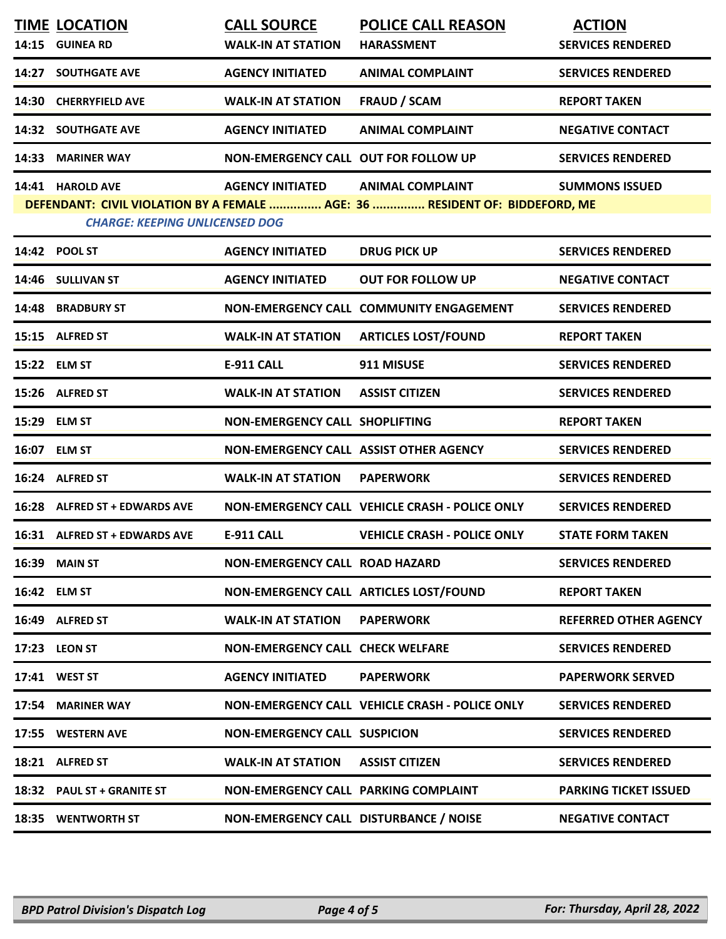|       | <b>TIME LOCATION</b><br>14:15 GUINEA RD | <b>CALL SOURCE</b><br><b>WALK-IN AT STATION</b> | <b>POLICE CALL REASON</b><br><b>HARASSMENT</b>                                                         | <b>ACTION</b><br><b>SERVICES RENDERED</b> |
|-------|-----------------------------------------|-------------------------------------------------|--------------------------------------------------------------------------------------------------------|-------------------------------------------|
|       | 14:27 SOUTHGATE AVE                     | <b>AGENCY INITIATED</b>                         | <b>ANIMAL COMPLAINT</b>                                                                                | <b>SERVICES RENDERED</b>                  |
|       | 14:30 CHERRYFIELD AVE                   | <b>WALK-IN AT STATION</b>                       | <b>FRAUD / SCAM</b>                                                                                    | <b>REPORT TAKEN</b>                       |
|       | <b>14:32 SOUTHGATE AVE</b>              | <b>AGENCY INITIATED</b>                         | <b>ANIMAL COMPLAINT</b>                                                                                | <b>NEGATIVE CONTACT</b>                   |
| 14:33 | <b>MARINER WAY</b>                      | NON-EMERGENCY CALL OUT FOR FOLLOW UP            |                                                                                                        | <b>SERVICES RENDERED</b>                  |
|       | 14:41 HAROLD AVE                        | <b>AGENCY INITIATED</b>                         | <b>ANIMAL COMPLAINT</b><br>DEFENDANT: CIVIL VIOLATION BY A FEMALE  AGE: 36  RESIDENT OF: BIDDEFORD, ME | <b>SUMMONS ISSUED</b>                     |
|       | <b>CHARGE: KEEPING UNLICENSED DOG</b>   |                                                 |                                                                                                        |                                           |
|       | 14:42 POOL ST                           | <b>AGENCY INITIATED</b>                         | <b>DRUG PICK UP</b>                                                                                    | <b>SERVICES RENDERED</b>                  |
|       | 14:46 SULLIVAN ST                       | <b>AGENCY INITIATED</b>                         | <b>OUT FOR FOLLOW UP</b>                                                                               | <b>NEGATIVE CONTACT</b>                   |
|       | 14:48 BRADBURY ST                       |                                                 | NON-EMERGENCY CALL COMMUNITY ENGAGEMENT                                                                | <b>SERVICES RENDERED</b>                  |
|       | 15:15 ALFRED ST                         | <b>WALK-IN AT STATION</b>                       | <b>ARTICLES LOST/FOUND</b>                                                                             | <b>REPORT TAKEN</b>                       |
|       | 15:22 ELM ST                            | <b>E-911 CALL</b>                               | 911 MISUSE                                                                                             | <b>SERVICES RENDERED</b>                  |
|       | 15:26 ALFRED ST                         | <b>WALK-IN AT STATION</b>                       | <b>ASSIST CITIZEN</b>                                                                                  | <b>SERVICES RENDERED</b>                  |
|       | 15:29 ELM ST                            | NON-EMERGENCY CALL SHOPLIFTING                  |                                                                                                        | <b>REPORT TAKEN</b>                       |
|       | 16:07 ELM ST                            | NON-EMERGENCY CALL ASSIST OTHER AGENCY          |                                                                                                        | <b>SERVICES RENDERED</b>                  |
|       | 16:24 ALFRED ST                         | <b>WALK-IN AT STATION</b>                       | <b>PAPERWORK</b>                                                                                       | <b>SERVICES RENDERED</b>                  |
|       | 16:28 ALFRED ST + EDWARDS AVE           |                                                 | NON-EMERGENCY CALL VEHICLE CRASH - POLICE ONLY                                                         | <b>SERVICES RENDERED</b>                  |
|       | 16:31 ALFRED ST + EDWARDS AVE           | <b>E-911 CALL</b>                               | <b>VEHICLE CRASH - POLICE ONLY</b>                                                                     | <b>STATE FORM TAKEN</b>                   |
| 16:39 | <b>MAIN ST</b>                          | <b>NON-EMERGENCY CALL ROAD HAZARD</b>           |                                                                                                        | <b>SERVICES RENDERED</b>                  |
|       | 16:42 ELM ST                            |                                                 | NON-EMERGENCY CALL ARTICLES LOST/FOUND                                                                 | <b>REPORT TAKEN</b>                       |
| 16:49 | <b>ALFRED ST</b>                        | <b>WALK-IN AT STATION</b>                       | <b>PAPERWORK</b>                                                                                       | <b>REFERRED OTHER AGENCY</b>              |
|       | 17:23 LEON ST                           | <b>NON-EMERGENCY CALL CHECK WELFARE</b>         |                                                                                                        | <b>SERVICES RENDERED</b>                  |
|       | 17:41 WEST ST                           | <b>AGENCY INITIATED</b>                         | <b>PAPERWORK</b>                                                                                       | <b>PAPERWORK SERVED</b>                   |
|       | 17:54 MARINER WAY                       |                                                 | NON-EMERGENCY CALL VEHICLE CRASH - POLICE ONLY                                                         | <b>SERVICES RENDERED</b>                  |
|       | 17:55 WESTERN AVE                       | <b>NON-EMERGENCY CALL SUSPICION</b>             |                                                                                                        | <b>SERVICES RENDERED</b>                  |
|       | 18:21 ALFRED ST                         | <b>WALK-IN AT STATION</b>                       | <b>ASSIST CITIZEN</b>                                                                                  | <b>SERVICES RENDERED</b>                  |
|       | 18:32 PAUL ST + GRANITE ST              | <b>NON-EMERGENCY CALL PARKING COMPLAINT</b>     |                                                                                                        | <b>PARKING TICKET ISSUED</b>              |
|       | <b>18:35 WENTWORTH ST</b>               | NON-EMERGENCY CALL DISTURBANCE / NOISE          |                                                                                                        | <b>NEGATIVE CONTACT</b>                   |